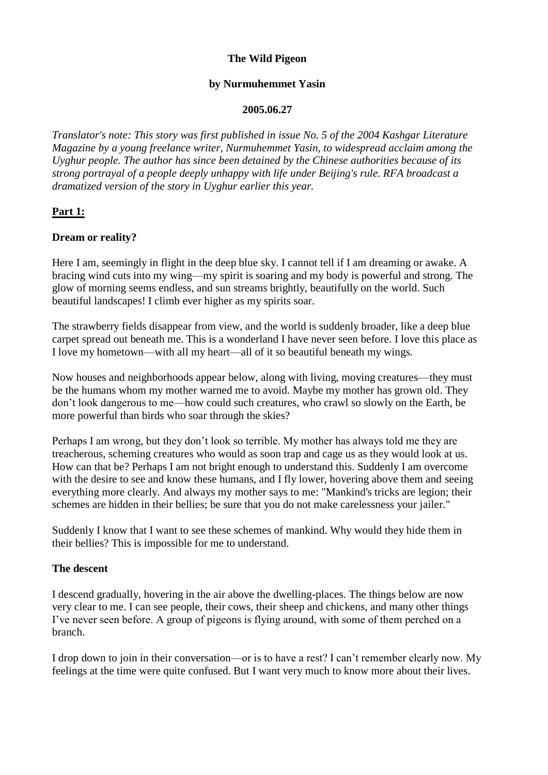#### **The Wild Pigeon**

#### **by Nurmuhemmet Yasin**

#### **2005.06.27**

*Translator's note: This story was first published in issue No. 5 of the 2004 Kashgar Literature Magazine by a young freelance writer, Nurmuhemmet Yasin, to widespread acclaim among the Uyghur people. The author has since been detained by the Chinese authorities because of its strong portrayal of a people deeply unhappy with life under Beijing's rule. RFA broadcast a dramatized version of the story in Uyghur earlier this year.*

#### **Part 1:**

#### **Dream or reality?**

Here I am, seemingly in flight in the deep blue sky. I cannot tell if I am dreaming or awake. A bracing wind cuts into my wing—my spirit is soaring and my body is powerful and strong. The glow of morning seems endless, and sun streams brightly, beautifully on the world. Such beautiful landscapes! I climb ever higher as my spirits soar.

The strawberry fields disappear from view, and the world is suddenly broader, like a deep blue carpet spread out beneath me. This is a wonderland I have never seen before. I love this place as I love my hometown—with all my heart—all of it so beautiful beneath my wings.

Now houses and neighborhoods appear below, along with living, moving creatures—they must be the humans whom my mother warned me to avoid. Maybe my mother has grown old. They don't look dangerous to me—how could such creatures, who crawl so slowly on the Earth, be more powerful than birds who soar through the skies?

Perhaps I am wrong, but they don't look so terrible. My mother has always told me they are treacherous, scheming creatures who would as soon trap and cage us as they would look at us. How can that be? Perhaps I am not bright enough to understand this. Suddenly I am overcome with the desire to see and know these humans, and I fly lower, hovering above them and seeing everything more clearly. And always my mother says to me: "Mankind's tricks are legion; their schemes are hidden in their bellies; be sure that you do not make carelessness your jailer."

Suddenly I know that I want to see these schemes of mankind. Why would they hide them in their bellies? This is impossible for me to understand.

#### **The descent**

I descend gradually, hovering in the air above the dwelling-places. The things below are now very clear to me. I can see people, their cows, their sheep and chickens, and many other things I've never seen before. A group of pigeons is flying around, with some of them perched on a branch.

I drop down to join in their conversation—or is to have a rest? I can't remember clearly now. My feelings at the time were quite confused. But I want very much to know more about their lives.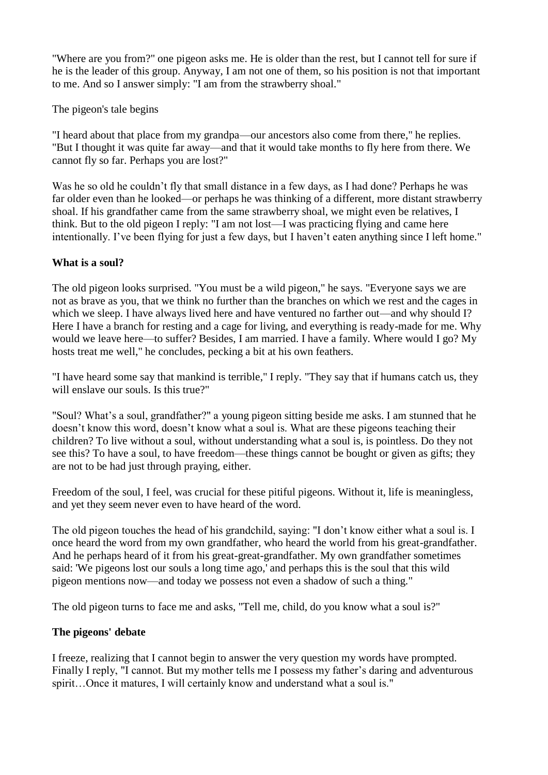"Where are you from?" one pigeon asks me. He is older than the rest, but I cannot tell for sure if he is the leader of this group. Anyway, I am not one of them, so his position is not that important to me. And so I answer simply: "I am from the strawberry shoal."

The pigeon's tale begins

"I heard about that place from my grandpa—our ancestors also come from there," he replies. "But I thought it was quite far away—and that it would take months to fly here from there. We cannot fly so far. Perhaps you are lost?"

Was he so old he couldn't fly that small distance in a few days, as I had done? Perhaps he was far older even than he looked—or perhaps he was thinking of a different, more distant strawberry shoal. If his grandfather came from the same strawberry shoal, we might even be relatives, I think. But to the old pigeon I reply: "I am not lost—I was practicing flying and came here intentionally. I've been flying for just a few days, but I haven't eaten anything since I left home."

## **What is a soul?**

The old pigeon looks surprised. "You must be a wild pigeon," he says. "Everyone says we are not as brave as you, that we think no further than the branches on which we rest and the cages in which we sleep. I have always lived here and have ventured no farther out—and why should I? Here I have a branch for resting and a cage for living, and everything is ready-made for me. Why would we leave here—to suffer? Besides, I am married. I have a family. Where would I go? My hosts treat me well," he concludes, pecking a bit at his own feathers.

"I have heard some say that mankind is terrible," I reply. "They say that if humans catch us, they will enslave our souls. Is this true?"

"Soul? What's a soul, grandfather?" a young pigeon sitting beside me asks. I am stunned that he doesn't know this word, doesn't know what a soul is. What are these pigeons teaching their children? To live without a soul, without understanding what a soul is, is pointless. Do they not see this? To have a soul, to have freedom—these things cannot be bought or given as gifts; they are not to be had just through praying, either.

Freedom of the soul, I feel, was crucial for these pitiful pigeons. Without it, life is meaningless, and yet they seem never even to have heard of the word.

The old pigeon touches the head of his grandchild, saying: "I don't know either what a soul is. I once heard the word from my own grandfather, who heard the world from his great-grandfather. And he perhaps heard of it from his great-great-grandfather. My own grandfather sometimes said: 'We pigeons lost our souls a long time ago,' and perhaps this is the soul that this wild pigeon mentions now—and today we possess not even a shadow of such a thing."

The old pigeon turns to face me and asks, "Tell me, child, do you know what a soul is?"

# **The pigeons' debate**

I freeze, realizing that I cannot begin to answer the very question my words have prompted. Finally I reply, "I cannot. But my mother tells me I possess my father's daring and adventurous spirit…Once it matures, I will certainly know and understand what a soul is."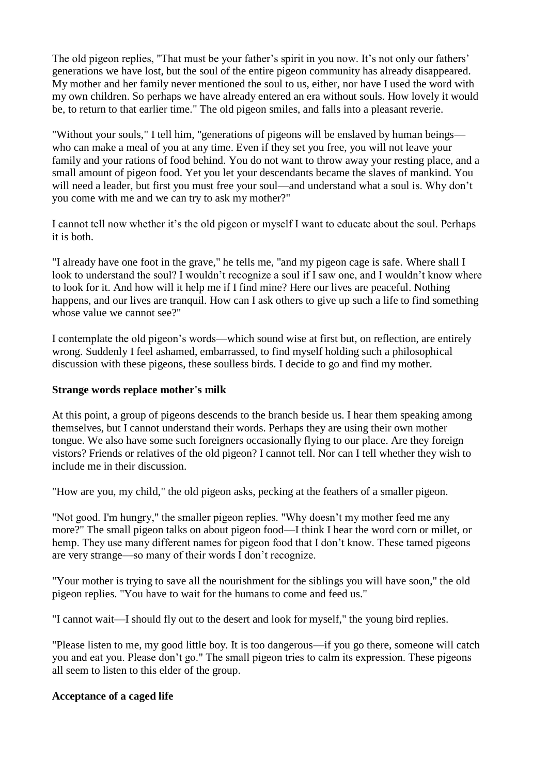The old pigeon replies, "That must be your father's spirit in you now. It's not only our fathers' generations we have lost, but the soul of the entire pigeon community has already disappeared. My mother and her family never mentioned the soul to us, either, nor have I used the word with my own children. So perhaps we have already entered an era without souls. How lovely it would be, to return to that earlier time." The old pigeon smiles, and falls into a pleasant reverie.

"Without your souls," I tell him, "generations of pigeons will be enslaved by human beings who can make a meal of you at any time. Even if they set you free, you will not leave your family and your rations of food behind. You do not want to throw away your resting place, and a small amount of pigeon food. Yet you let your descendants became the slaves of mankind. You will need a leader, but first you must free your soul—and understand what a soul is. Why don't you come with me and we can try to ask my mother?"

I cannot tell now whether it's the old pigeon or myself I want to educate about the soul. Perhaps it is both.

"I already have one foot in the grave," he tells me, "and my pigeon cage is safe. Where shall I look to understand the soul? I wouldn't recognize a soul if I saw one, and I wouldn't know where to look for it. And how will it help me if I find mine? Here our lives are peaceful. Nothing happens, and our lives are tranquil. How can I ask others to give up such a life to find something whose value we cannot see?"

I contemplate the old pigeon's words—which sound wise at first but, on reflection, are entirely wrong. Suddenly I feel ashamed, embarrassed, to find myself holding such a philosophical discussion with these pigeons, these soulless birds. I decide to go and find my mother.

#### **Strange words replace mother's milk**

At this point, a group of pigeons descends to the branch beside us. I hear them speaking among themselves, but I cannot understand their words. Perhaps they are using their own mother tongue. We also have some such foreigners occasionally flying to our place. Are they foreign vistors? Friends or relatives of the old pigeon? I cannot tell. Nor can I tell whether they wish to include me in their discussion.

"How are you, my child," the old pigeon asks, pecking at the feathers of a smaller pigeon.

"Not good. I'm hungry," the smaller pigeon replies. "Why doesn't my mother feed me any more?" The small pigeon talks on about pigeon food—I think I hear the word corn or millet, or hemp. They use many different names for pigeon food that I don't know. These tamed pigeons are very strange—so many of their words I don't recognize.

"Your mother is trying to save all the nourishment for the siblings you will have soon," the old pigeon replies. "You have to wait for the humans to come and feed us."

"I cannot wait—I should fly out to the desert and look for myself," the young bird replies.

"Please listen to me, my good little boy. It is too dangerous—if you go there, someone will catch you and eat you. Please don't go." The small pigeon tries to calm its expression. These pigeons all seem to listen to this elder of the group.

## **Acceptance of a caged life**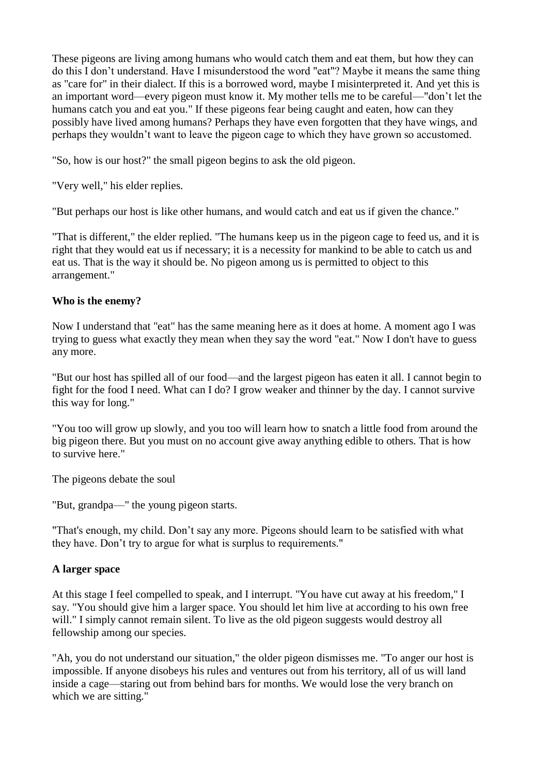These pigeons are living among humans who would catch them and eat them, but how they can do this I don't understand. Have I misunderstood the word "eat"? Maybe it means the same thing as "care for" in their dialect. If this is a borrowed word, maybe I misinterpreted it. And yet this is an important word—every pigeon must know it. My mother tells me to be careful—"don't let the humans catch you and eat you." If these pigeons fear being caught and eaten, how can they possibly have lived among humans? Perhaps they have even forgotten that they have wings, and perhaps they wouldn't want to leave the pigeon cage to which they have grown so accustomed.

"So, how is our host?" the small pigeon begins to ask the old pigeon.

"Very well," his elder replies.

"But perhaps our host is like other humans, and would catch and eat us if given the chance."

"That is different," the elder replied. "The humans keep us in the pigeon cage to feed us, and it is right that they would eat us if necessary; it is a necessity for mankind to be able to catch us and eat us. That is the way it should be. No pigeon among us is permitted to object to this arrangement."

# **Who is the enemy?**

Now I understand that "eat" has the same meaning here as it does at home. A moment ago I was trying to guess what exactly they mean when they say the word "eat." Now I don't have to guess any more.

"But our host has spilled all of our food—and the largest pigeon has eaten it all. I cannot begin to fight for the food I need. What can I do? I grow weaker and thinner by the day. I cannot survive this way for long."

"You too will grow up slowly, and you too will learn how to snatch a little food from around the big pigeon there. But you must on no account give away anything edible to others. That is how to survive here."

The pigeons debate the soul

"But, grandpa—" the young pigeon starts.

"That's enough, my child. Don't say any more. Pigeons should learn to be satisfied with what they have. Don't try to argue for what is surplus to requirements."

# **A larger space**

At this stage I feel compelled to speak, and I interrupt. "You have cut away at his freedom," I say. "You should give him a larger space. You should let him live at according to his own free will." I simply cannot remain silent. To live as the old pigeon suggests would destroy all fellowship among our species.

"Ah, you do not understand our situation," the older pigeon dismisses me. "To anger our host is impossible. If anyone disobeys his rules and ventures out from his territory, all of us will land inside a cage—staring out from behind bars for months. We would lose the very branch on which we are sitting."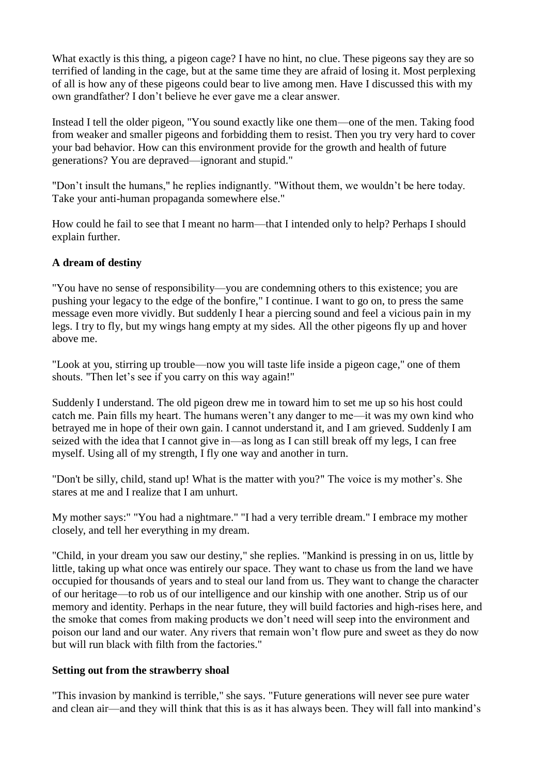What exactly is this thing, a pigeon cage? I have no hint, no clue. These pigeons say they are so terrified of landing in the cage, but at the same time they are afraid of losing it. Most perplexing of all is how any of these pigeons could bear to live among men. Have I discussed this with my own grandfather? I don't believe he ever gave me a clear answer.

Instead I tell the older pigeon, "You sound exactly like one them—one of the men. Taking food from weaker and smaller pigeons and forbidding them to resist. Then you try very hard to cover your bad behavior. How can this environment provide for the growth and health of future generations? You are depraved—ignorant and stupid."

"Don't insult the humans," he replies indignantly. "Without them, we wouldn't be here today. Take your anti-human propaganda somewhere else."

How could he fail to see that I meant no harm—that I intended only to help? Perhaps I should explain further.

## **A dream of destiny**

"You have no sense of responsibility—you are condemning others to this existence; you are pushing your legacy to the edge of the bonfire," I continue. I want to go on, to press the same message even more vividly. But suddenly I hear a piercing sound and feel a vicious pain in my legs. I try to fly, but my wings hang empty at my sides. All the other pigeons fly up and hover above me.

"Look at you, stirring up trouble—now you will taste life inside a pigeon cage," one of them shouts. "Then let's see if you carry on this way again!"

Suddenly I understand. The old pigeon drew me in toward him to set me up so his host could catch me. Pain fills my heart. The humans weren't any danger to me—it was my own kind who betrayed me in hope of their own gain. I cannot understand it, and I am grieved. Suddenly I am seized with the idea that I cannot give in—as long as I can still break off my legs, I can free myself. Using all of my strength, I fly one way and another in turn.

"Don't be silly, child, stand up! What is the matter with you?" The voice is my mother's. She stares at me and I realize that I am unhurt.

My mother says:" "You had a nightmare." "I had a very terrible dream." I embrace my mother closely, and tell her everything in my dream.

"Child, in your dream you saw our destiny," she replies. "Mankind is pressing in on us, little by little, taking up what once was entirely our space. They want to chase us from the land we have occupied for thousands of years and to steal our land from us. They want to change the character of our heritage—to rob us of our intelligence and our kinship with one another. Strip us of our memory and identity. Perhaps in the near future, they will build factories and high-rises here, and the smoke that comes from making products we don't need will seep into the environment and poison our land and our water. Any rivers that remain won't flow pure and sweet as they do now but will run black with filth from the factories."

#### **Setting out from the strawberry shoal**

"This invasion by mankind is terrible," she says. "Future generations will never see pure water and clean air—and they will think that this is as it has always been. They will fall into mankind's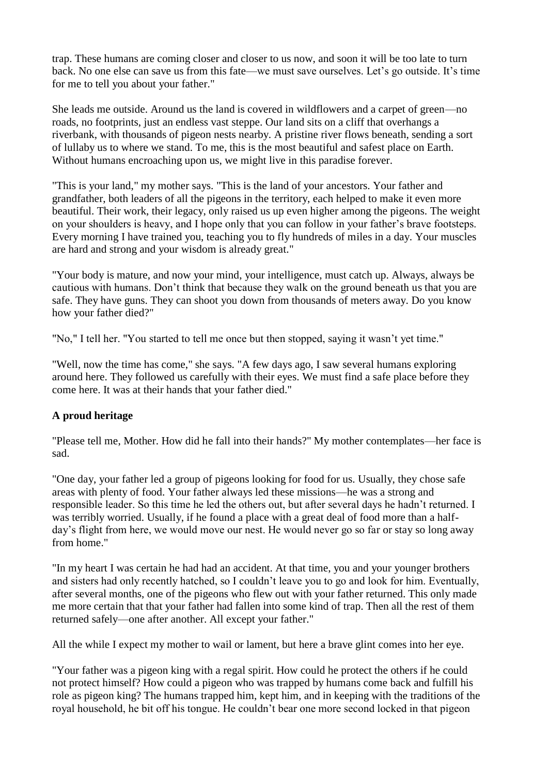trap. These humans are coming closer and closer to us now, and soon it will be too late to turn back. No one else can save us from this fate—we must save ourselves. Let's go outside. It's time for me to tell you about your father."

She leads me outside. Around us the land is covered in wildflowers and a carpet of green—no roads, no footprints, just an endless vast steppe. Our land sits on a cliff that overhangs a riverbank, with thousands of pigeon nests nearby. A pristine river flows beneath, sending a sort of lullaby us to where we stand. To me, this is the most beautiful and safest place on Earth. Without humans encroaching upon us, we might live in this paradise forever.

"This is your land," my mother says. "This is the land of your ancestors. Your father and grandfather, both leaders of all the pigeons in the territory, each helped to make it even more beautiful. Their work, their legacy, only raised us up even higher among the pigeons. The weight on your shoulders is heavy, and I hope only that you can follow in your father's brave footsteps. Every morning I have trained you, teaching you to fly hundreds of miles in a day. Your muscles are hard and strong and your wisdom is already great."

"Your body is mature, and now your mind, your intelligence, must catch up. Always, always be cautious with humans. Don't think that because they walk on the ground beneath us that you are safe. They have guns. They can shoot you down from thousands of meters away. Do you know how your father died?"

"No," I tell her. "You started to tell me once but then stopped, saying it wasn't yet time."

"Well, now the time has come," she says. "A few days ago, I saw several humans exploring around here. They followed us carefully with their eyes. We must find a safe place before they come here. It was at their hands that your father died."

## **A proud heritage**

"Please tell me, Mother. How did he fall into their hands?" My mother contemplates—her face is sad.

"One day, your father led a group of pigeons looking for food for us. Usually, they chose safe areas with plenty of food. Your father always led these missions—he was a strong and responsible leader. So this time he led the others out, but after several days he hadn't returned. I was terribly worried. Usually, if he found a place with a great deal of food more than a halfday's flight from here, we would move our nest. He would never go so far or stay so long away from home."

"In my heart I was certain he had had an accident. At that time, you and your younger brothers and sisters had only recently hatched, so I couldn't leave you to go and look for him. Eventually, after several months, one of the pigeons who flew out with your father returned. This only made me more certain that that your father had fallen into some kind of trap. Then all the rest of them returned safely—one after another. All except your father."

All the while I expect my mother to wail or lament, but here a brave glint comes into her eye.

"Your father was a pigeon king with a regal spirit. How could he protect the others if he could not protect himself? How could a pigeon who was trapped by humans come back and fulfill his role as pigeon king? The humans trapped him, kept him, and in keeping with the traditions of the royal household, he bit off his tongue. He couldn't bear one more second locked in that pigeon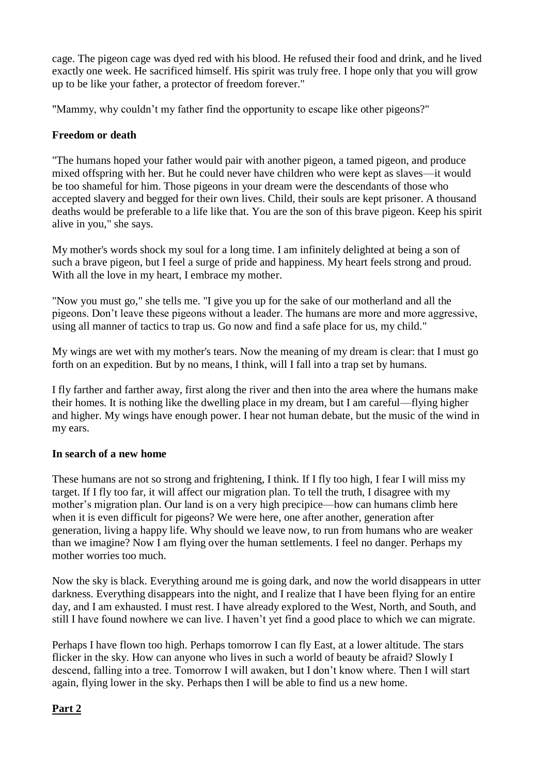cage. The pigeon cage was dyed red with his blood. He refused their food and drink, and he lived exactly one week. He sacrificed himself. His spirit was truly free. I hope only that you will grow up to be like your father, a protector of freedom forever."

"Mammy, why couldn't my father find the opportunity to escape like other pigeons?"

# **Freedom or death**

"The humans hoped your father would pair with another pigeon, a tamed pigeon, and produce mixed offspring with her. But he could never have children who were kept as slaves—it would be too shameful for him. Those pigeons in your dream were the descendants of those who accepted slavery and begged for their own lives. Child, their souls are kept prisoner. A thousand deaths would be preferable to a life like that. You are the son of this brave pigeon. Keep his spirit alive in you," she says.

My mother's words shock my soul for a long time. I am infinitely delighted at being a son of such a brave pigeon, but I feel a surge of pride and happiness. My heart feels strong and proud. With all the love in my heart, I embrace my mother.

"Now you must go," she tells me. "I give you up for the sake of our motherland and all the pigeons. Don't leave these pigeons without a leader. The humans are more and more aggressive, using all manner of tactics to trap us. Go now and find a safe place for us, my child."

My wings are wet with my mother's tears. Now the meaning of my dream is clear: that I must go forth on an expedition. But by no means, I think, will I fall into a trap set by humans.

I fly farther and farther away, first along the river and then into the area where the humans make their homes. It is nothing like the dwelling place in my dream, but I am careful—flying higher and higher. My wings have enough power. I hear not human debate, but the music of the wind in my ears.

## **In search of a new home**

These humans are not so strong and frightening, I think. If I fly too high, I fear I will miss my target. If I fly too far, it will affect our migration plan. To tell the truth, I disagree with my mother's migration plan. Our land is on a very high precipice—how can humans climb here when it is even difficult for pigeons? We were here, one after another, generation after generation, living a happy life. Why should we leave now, to run from humans who are weaker than we imagine? Now I am flying over the human settlements. I feel no danger. Perhaps my mother worries too much.

Now the sky is black. Everything around me is going dark, and now the world disappears in utter darkness. Everything disappears into the night, and I realize that I have been flying for an entire day, and I am exhausted. I must rest. I have already explored to the West, North, and South, and still I have found nowhere we can live. I haven't yet find a good place to which we can migrate.

Perhaps I have flown too high. Perhaps tomorrow I can fly East, at a lower altitude. The stars flicker in the sky. How can anyone who lives in such a world of beauty be afraid? Slowly I descend, falling into a tree. Tomorrow I will awaken, but I don't know where. Then I will start again, flying lower in the sky. Perhaps then I will be able to find us a new home.

## **Part 2**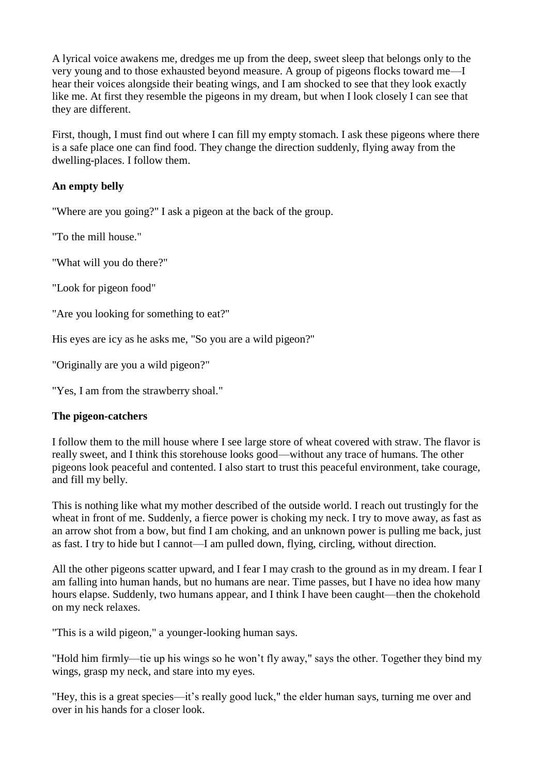A lyrical voice awakens me, dredges me up from the deep, sweet sleep that belongs only to the very young and to those exhausted beyond measure. A group of pigeons flocks toward me—I hear their voices alongside their beating wings, and I am shocked to see that they look exactly like me. At first they resemble the pigeons in my dream, but when I look closely I can see that they are different.

First, though, I must find out where I can fill my empty stomach. I ask these pigeons where there is a safe place one can find food. They change the direction suddenly, flying away from the dwelling-places. I follow them.

## **An empty belly**

"Where are you going?" I ask a pigeon at the back of the group.

"To the mill house."

"What will you do there?"

"Look for pigeon food"

"Are you looking for something to eat?"

His eyes are icy as he asks me, "So you are a wild pigeon?"

"Originally are you a wild pigeon?"

"Yes, I am from the strawberry shoal."

## **The pigeon-catchers**

I follow them to the mill house where I see large store of wheat covered with straw. The flavor is really sweet, and I think this storehouse looks good—without any trace of humans. The other pigeons look peaceful and contented. I also start to trust this peaceful environment, take courage, and fill my belly.

This is nothing like what my mother described of the outside world. I reach out trustingly for the wheat in front of me. Suddenly, a fierce power is choking my neck. I try to move away, as fast as an arrow shot from a bow, but find I am choking, and an unknown power is pulling me back, just as fast. I try to hide but I cannot—I am pulled down, flying, circling, without direction.

All the other pigeons scatter upward, and I fear I may crash to the ground as in my dream. I fear I am falling into human hands, but no humans are near. Time passes, but I have no idea how many hours elapse. Suddenly, two humans appear, and I think I have been caught—then the chokehold on my neck relaxes.

"This is a wild pigeon," a younger-looking human says.

"Hold him firmly—tie up his wings so he won't fly away," says the other. Together they bind my wings, grasp my neck, and stare into my eyes.

"Hey, this is a great species—it's really good luck," the elder human says, turning me over and over in his hands for a closer look.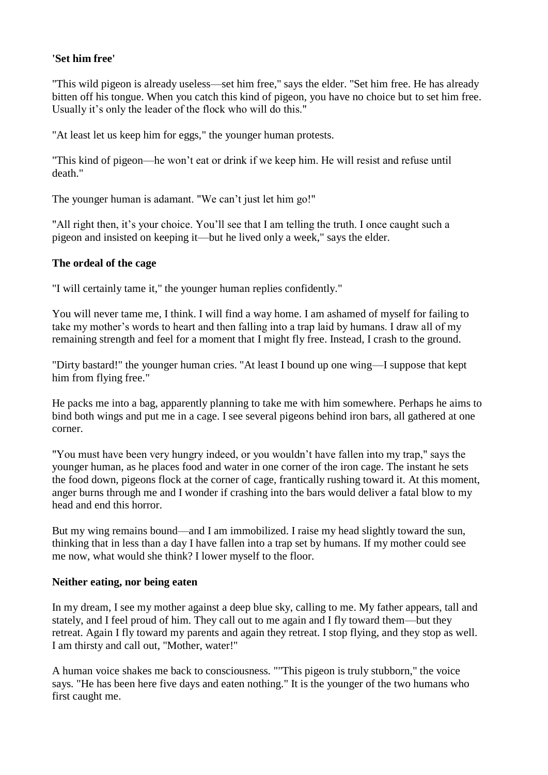# **'Set him free'**

"This wild pigeon is already useless—set him free," says the elder. "Set him free. He has already bitten off his tongue. When you catch this kind of pigeon, you have no choice but to set him free. Usually it's only the leader of the flock who will do this."

"At least let us keep him for eggs," the younger human protests.

"This kind of pigeon—he won't eat or drink if we keep him. He will resist and refuse until death."

The younger human is adamant. "We can't just let him go!"

"All right then, it's your choice. You'll see that I am telling the truth. I once caught such a pigeon and insisted on keeping it—but he lived only a week," says the elder.

## **The ordeal of the cage**

"I will certainly tame it," the younger human replies confidently."

You will never tame me, I think. I will find a way home. I am ashamed of myself for failing to take my mother's words to heart and then falling into a trap laid by humans. I draw all of my remaining strength and feel for a moment that I might fly free. Instead, I crash to the ground.

"Dirty bastard!" the younger human cries. "At least I bound up one wing—I suppose that kept him from flying free."

He packs me into a bag, apparently planning to take me with him somewhere. Perhaps he aims to bind both wings and put me in a cage. I see several pigeons behind iron bars, all gathered at one corner.

"You must have been very hungry indeed, or you wouldn't have fallen into my trap," says the younger human, as he places food and water in one corner of the iron cage. The instant he sets the food down, pigeons flock at the corner of cage, frantically rushing toward it. At this moment, anger burns through me and I wonder if crashing into the bars would deliver a fatal blow to my head and end this horror.

But my wing remains bound—and I am immobilized. I raise my head slightly toward the sun, thinking that in less than a day I have fallen into a trap set by humans. If my mother could see me now, what would she think? I lower myself to the floor.

#### **Neither eating, nor being eaten**

In my dream, I see my mother against a deep blue sky, calling to me. My father appears, tall and stately, and I feel proud of him. They call out to me again and I fly toward them—but they retreat. Again I fly toward my parents and again they retreat. I stop flying, and they stop as well. I am thirsty and call out, "Mother, water!"

A human voice shakes me back to consciousness. ""This pigeon is truly stubborn," the voice says. "He has been here five days and eaten nothing." It is the younger of the two humans who first caught me.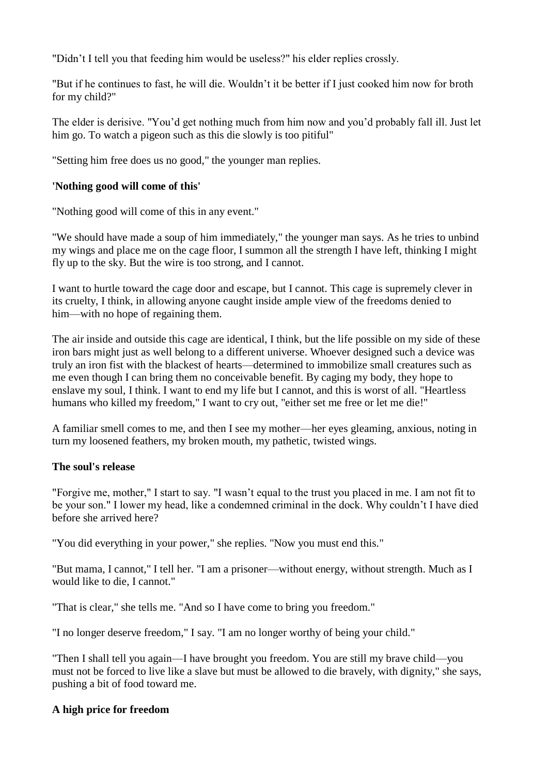"Didn't I tell you that feeding him would be useless?" his elder replies crossly.

"But if he continues to fast, he will die. Wouldn't it be better if I just cooked him now for broth for my child?"

The elder is derisive. "You'd get nothing much from him now and you'd probably fall ill. Just let him go. To watch a pigeon such as this die slowly is too pitiful"

"Setting him free does us no good," the younger man replies.

# **'Nothing good will come of this'**

"Nothing good will come of this in any event."

"We should have made a soup of him immediately," the younger man says. As he tries to unbind my wings and place me on the cage floor, I summon all the strength I have left, thinking I might fly up to the sky. But the wire is too strong, and I cannot.

I want to hurtle toward the cage door and escape, but I cannot. This cage is supremely clever in its cruelty, I think, in allowing anyone caught inside ample view of the freedoms denied to him—with no hope of regaining them.

The air inside and outside this cage are identical, I think, but the life possible on my side of these iron bars might just as well belong to a different universe. Whoever designed such a device was truly an iron fist with the blackest of hearts—determined to immobilize small creatures such as me even though I can bring them no conceivable benefit. By caging my body, they hope to enslave my soul, I think. I want to end my life but I cannot, and this is worst of all. "Heartless humans who killed my freedom," I want to cry out, "either set me free or let me die!"

A familiar smell comes to me, and then I see my mother—her eyes gleaming, anxious, noting in turn my loosened feathers, my broken mouth, my pathetic, twisted wings.

## **The soul's release**

"Forgive me, mother," I start to say. "I wasn't equal to the trust you placed in me. I am not fit to be your son." I lower my head, like a condemned criminal in the dock. Why couldn't I have died before she arrived here?

"You did everything in your power," she replies. "Now you must end this."

"But mama, I cannot," I tell her. "I am a prisoner—without energy, without strength. Much as I would like to die, I cannot."

"That is clear," she tells me. "And so I have come to bring you freedom."

"I no longer deserve freedom," I say. "I am no longer worthy of being your child."

"Then I shall tell you again—I have brought you freedom. You are still my brave child—you must not be forced to live like a slave but must be allowed to die bravely, with dignity," she says, pushing a bit of food toward me.

## **A high price for freedom**